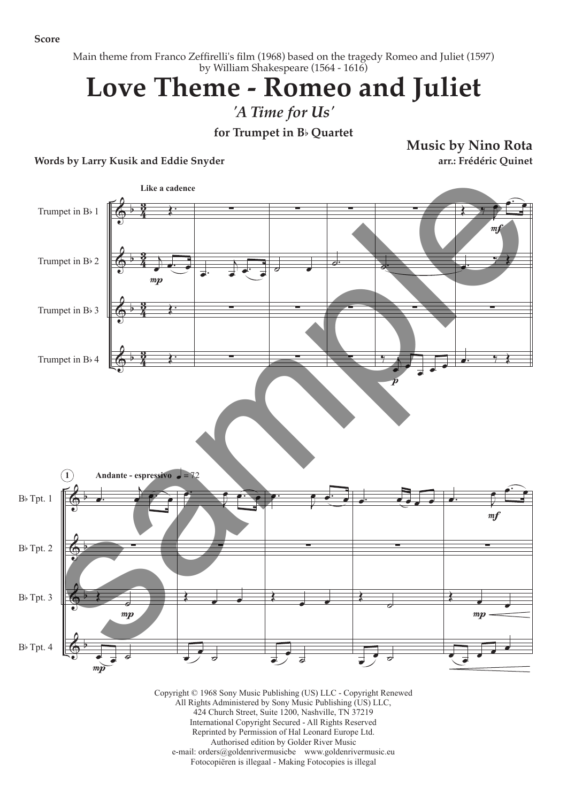**Score**

Main theme from Franco Zeffirelli's film (1968) based on the tragedy Romeo and Juliet (1597) by William Shakespeare (1564 - 1616)

## **Love Theme - Romeo and Juliet**

*'A Time for Us'*

**for Trumpet in B**b **Quartet**

**Words by Larry Kusik and Eddie Snyder**

**Music by Nino Rota arr.: Frédéric Quinet**



Copyright © 1968 Sony Music Publishing (US) LLC - Copyright Renewed All Rights Administered by Sony Music Publishing (US) LLC, 424 Church Street, Suite 1200, Nashville, TN 37219 International Copyright Secured - All Rights Reserved Reprinted by Permission of Hal Leonard Europe Ltd. Authorised edition by Golder River Music e-mail: orders@goldenrivermusicbe www.goldenrivermusic.eu Fotocopiëren is illegaal - Making Fotocopies is illegal